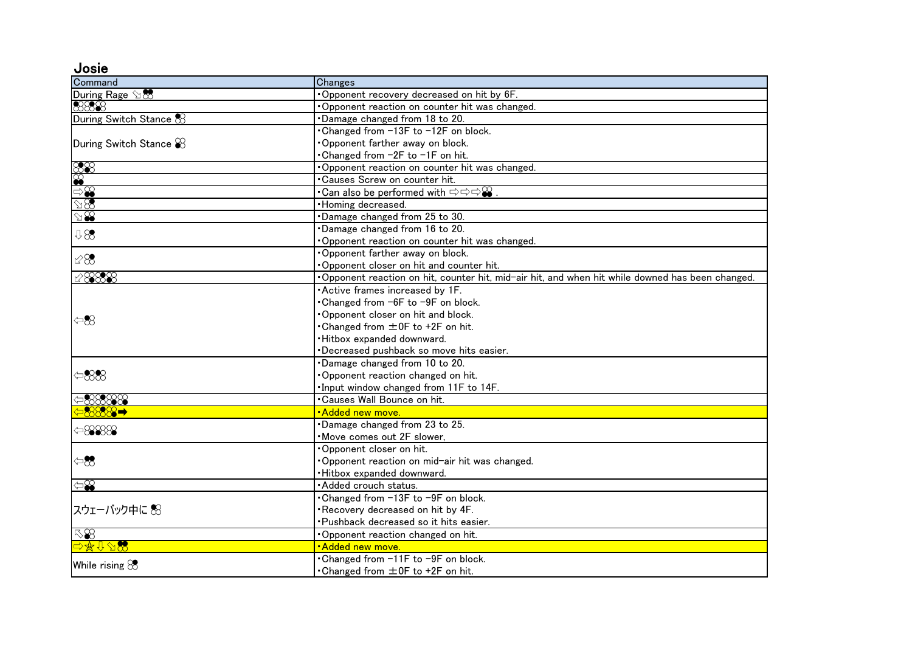Josie

| Command                        | Changes                                                                                         |
|--------------------------------|-------------------------------------------------------------------------------------------------|
| During Rage 98                 | Opponent recovery decreased on hit by 6F.                                                       |
| 8888                           | Opponent reaction on counter hit was changed.                                                   |
| During Switch Stance &         | Damage changed from 18 to 20.                                                                   |
| During Switch Stance $\otimes$ | Changed from -13F to -12F on block.                                                             |
|                                | Opponent farther away on block.                                                                 |
|                                | Changed from −2F to −1F on hit.                                                                 |
| $\frac{88}{8}$                 | Opponent reaction on counter hit was changed.                                                   |
|                                | • Causes Screw on counter hit.                                                                  |
| $\mathbb{R}^2$                 | •Can also be performed with $\Rightarrow$ $\Rightarrow$ $\Rightarrow$ $\circ$                   |
|                                | · Homing decreased.                                                                             |
| $\Im\mathcal{B}$               | Damage changed from 25 to 30.                                                                   |
| 98                             | Damage changed from 16 to 20.                                                                   |
|                                | Opponent reaction on counter hit was changed.                                                   |
| $\mathbb{Z}8$                  | Opponent farther away on block.                                                                 |
|                                | Opponent closer on hit and counter hit.                                                         |
| 128888                         | Opponent reaction on hit, counter hit, mid-air hit, and when hit while downed has been changed. |
| $\Leftrightarrow$              | Active frames increased by 1F.                                                                  |
|                                | Changed from -6F to -9F on block.                                                               |
|                                | Opponent closer on hit and block.                                                               |
|                                | •Changed from ±0F to +2F on hit.                                                                |
|                                | ·Hitbox expanded downward.                                                                      |
|                                | Decreased pushback so move hits easier.                                                         |
|                                | Damage changed from 10 to 20.                                                                   |
| $\Leftrightarrow$ 888          | Opponent reaction changed on hit.                                                               |
|                                | . Input window changed from 11F to 14F.                                                         |
| $\triangle$ 88888              | •Causes Wall Bounce on hit.                                                                     |
| ⇔ 8889                         | ·Added new move.                                                                                |
| $\Leftrightarrow$ 8888         | Damage changed from 23 to 25.                                                                   |
|                                | Move comes out 2F slower,                                                                       |
| $\Leftrightarrow$              | Opponent closer on hit.                                                                         |
|                                | Opponent reaction on mid-air hit was changed.                                                   |
|                                | Hitbox expanded downward.                                                                       |
| $\widehat{\mathbb{S}}$         | · Added crouch status.                                                                          |
| スウェーバック中に 怒                    | Changed from -13F to -9F on block.                                                              |
|                                | Recovery decreased on hit by 4F.                                                                |
|                                | ·Pushback decreased so it hits easier.                                                          |
| $\nabla\mathcal{S}$            | Opponent reaction changed on hit.                                                               |
| 中华介乙烯                          | <b>Added new move.</b>                                                                          |
| While rising &                 | • Changed from -11F to -9F on block.                                                            |
|                                | • Changed from $\pm$ 0F to +2F on hit.                                                          |